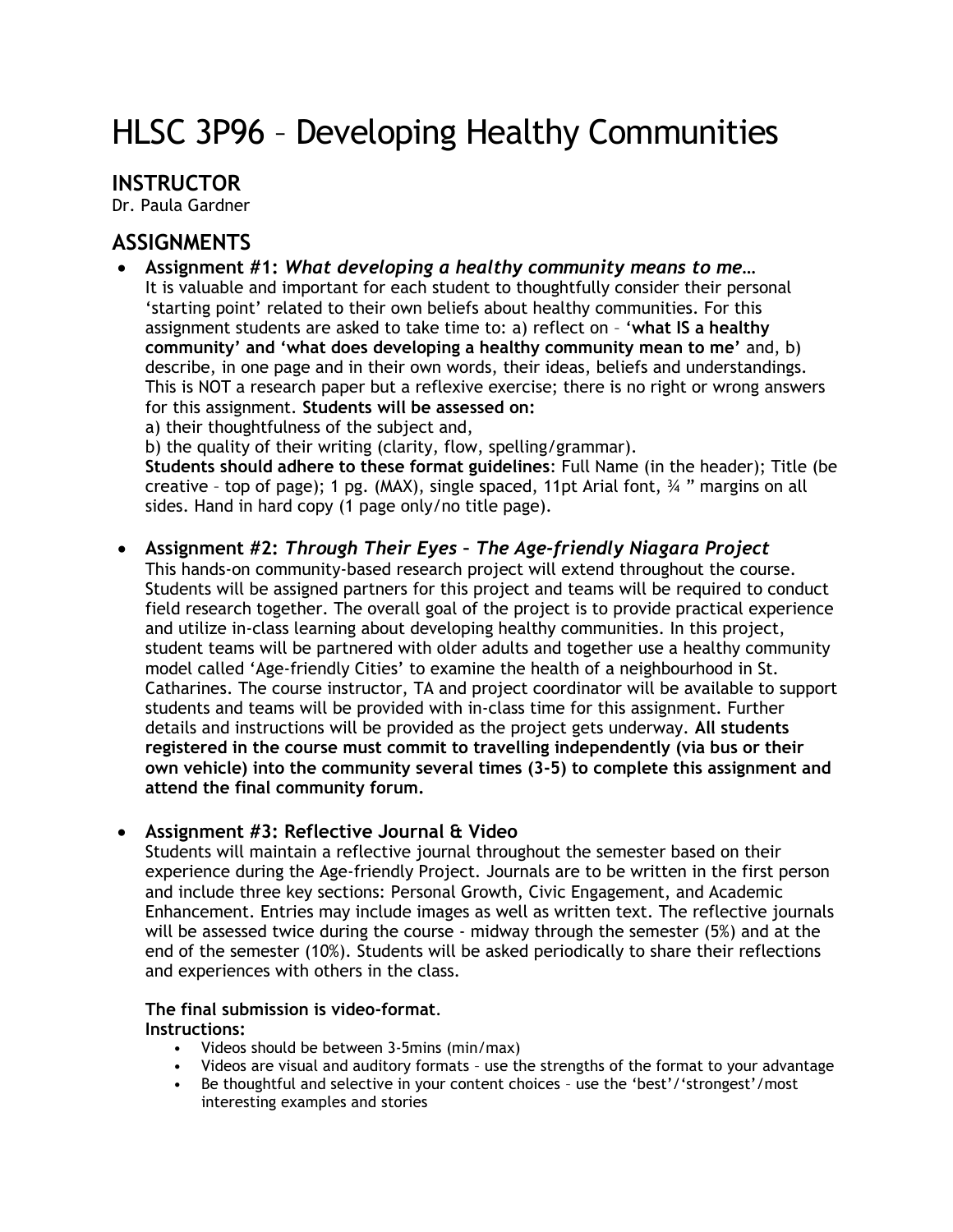# HLSC 3P96 – Developing Healthy Communities

## **INSTRUCTOR**

Dr. Paula Gardner

# **ASSIGNMENTS**

- **Assignment #1:** *What developing a healthy community means to me…* It is valuable and important for each student to thoughtfully consider their personal 'starting point' related to their own beliefs about healthy communities. For this assignment students are asked to take time to: a) reflect on – '**what IS a healthy community' and 'what does developing a healthy community mean to me'** and, b) describe, in one page and in their own words, their ideas, beliefs and understandings. This is NOT a research paper but a reflexive exercise; there is no right or wrong answers for this assignment. **Students will be assessed on:** 
	- a) their thoughtfulness of the subject and,

b) the quality of their writing (clarity, flow, spelling/grammar).

**Students should adhere to these format guidelines**: Full Name (in the header); Title (be creative – top of page); 1 pg. (MAX), single spaced, 11pt Arial font, ¾ " margins on all sides. Hand in hard copy (1 page only/no title page).

### • **Assignment #2:** *Through Their Eyes – The Age-friendly Niagara Project*

This hands-on community-based research project will extend throughout the course. Students will be assigned partners for this project and teams will be required to conduct field research together. The overall goal of the project is to provide practical experience and utilize in-class learning about developing healthy communities. In this project, student teams will be partnered with older adults and together use a healthy community model called 'Age-friendly Cities' to examine the health of a neighbourhood in St. Catharines. The course instructor, TA and project coordinator will be available to support students and teams will be provided with in-class time for this assignment. Further details and instructions will be provided as the project gets underway. **All students registered in the course must commit to travelling independently (via bus or their own vehicle) into the community several times (3-5) to complete this assignment and attend the final community forum.**

#### • **Assignment #3: Reflective Journal & Video**

Students will maintain a reflective journal throughout the semester based on their experience during the Age-friendly Project. Journals are to be written in the first person and include three key sections: Personal Growth, Civic Engagement, and Academic Enhancement. Entries may include images as well as written text. The reflective journals will be assessed twice during the course - midway through the semester (5%) and at the end of the semester (10%). Students will be asked periodically to share their reflections and experiences with others in the class.

## **The final submission is video-format**.

#### **Instructions:**

- Videos should be between 3-5mins (min/max)
- Videos are visual and auditory formats use the strengths of the format to your advantage <br>• Be thoughtful and selective in your content choices use the 'best'/'strongest'/most
- Be thoughtful and selective in your content choices use the 'best'/'strongest'/most interesting examples and stories